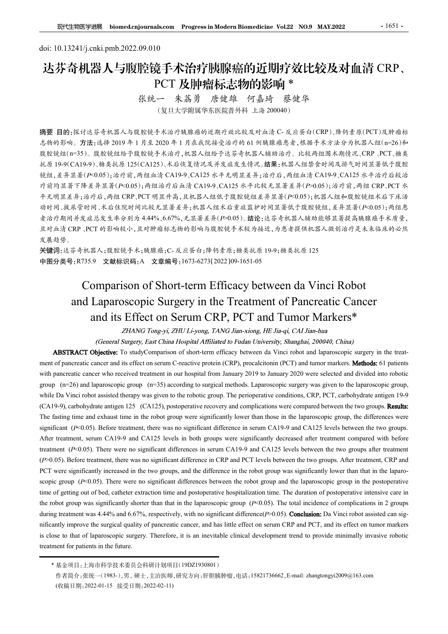# doi: 10.13241/j.cnki.pmb.2022.09.010 达芬奇机器人与腹腔镜手术治疗胰腺癌的近期疗效比较及对血清 CRP、 PCT 及肿瘤标志物的影响 \*<br>张统一 朱荔勇 唐健雄 何嘉琦 蔡健华

(复旦大学附属华东医院普外科 上海 200040)

摘要 目的:探讨达芬奇机器人与腹腔镜手术治疗胰腺癌的近期疗效比较及对血清 C- 反应蛋白(CRP)、降钙素原(PCT)及肿瘤标 志物的影响。方法:选择 2019 年 1 月至 2020 年 1 月在我院接受治疗的 61 例胰腺癌患者,根据手术方法分为机器人组(n=26)和 腹腔镜组(n=35)。腹腔镜组给予腹腔镜手术治疗,机器人组给予达芬奇机器人辅助治疗。比较两组围术期情况、CRP、PCT、糖类 抗原 19-9(CA19-9)、糖类抗原 125(CA125)、术后恢复情况及并发症发生情况。结果:机器人组禁食时间及排气时间显著低于腹腔 镜组,差异显著(P<0.05);治疗前,两组血清 CA19-9、CA125 水平无明显差异;治疗后,两组血清 CA19-9、CA125 水平治疗后较治 疗前均显著下降差异显著(P<0.05);两组治疗后血清 CA19-9、CA125 水平比较无显著差异(P>0.05);治疗前,两组 CRP、PCT 水 平无明显差异;治疗后,两组 CRP、PCT 明显升高,且机器人组低于腹腔镜组差异显著(P<0.05);机器人组和腹腔镜组术后下床活 动时间、拔尿管时间、术后住院时间比较无显著差异;机器人组术后重症监护时间显著低于腹腔镜组,差异显著(P<0.05);两组患 者治疗期间并发症总发生率分别为 4.44%、6.67%,无显著差异(P>0.05)。结论:达芬奇机器人辅助能够显著提高胰腺癌手术质量, 且对血清 CRP 、PCT 的影响较小,且对肿瘤标志物的影响与腹腔镜手术较为接近,为患者提供机器人微创治疗是未来临床的必然 发展趋势。 "张统一" 朱荔勇 唐健雄 何嘉琦 蔡俊华<br>(复旦大学開展作家院院界科長上海 200040)<br>法学寺施器人与腹壁统手术治疗線線癌的近期疗法比较及对血清 C-反逐蛋白(CRP)、渗分方式后(PCT)及肿瘤标<br>方法技术2009年),具至2020年1月在成能缺乏治疗的自测数病意者,推掘予本方法分为机器人组(n=20.h+<br>5)。腹股後组除予腹股缝手术治疗,机器人组除了法等等机器人辅助治疗,比较两时国来航空人工程、PCT、接受<br>9-9)、糖果 and Laparoscopic Surgery in the Treatment of Pancreatic Cancer and its Effect on Serum CRP, PCT and Tumor Markers\* 放送 19-9(CA19-9)、58表标准 125(CA125)、本庁株差情况及并是在定法生活及、結果: 水準全中間及不能管用及样气的周显系统下環航<br>統計分析:基本基本に2001;指令前、相当にはCA129、本行基本基本基本基本基本、国連、公共部分中間及科气管用基本管理及<br>管理及基本管理及基本(POUS);指令前の法人以2002年中に投資基準に発生されまれまれまれまれまれまれません。<br>管理は基本による基本化の19.4009, CA12

关键词:达芬奇机器人;腹腔镜手术;胰腺癌;C- 反应蛋白;降钙素原;糖类抗原 19-9;糖类抗原 125 中图分类号:R735.9 文献标识码:A 文章编号:1673-6273(2022)09-1651-05

が約3 年(Fig. 3 年) - 5 many 2020年)<br>The paper who received transform of the paper and contents in our hospital from The paper and cancer who received treatment in our hospital from The Fig. 1997年(1919)<br>大学科学会行会 内容(CRP)(FC TR *4* A.明显著,治疗后,再但CRP,不可以在前进行的。<br><br>
The Ballyan Recording to the Real Mapa Real Map Real Map Real Map Real Map Real Map Real Map Real Map Real Map Real Map Real Map Real Map Real Map Real Map Real Map Real Map Real Map Real while Da Vinci robot assisted therapy was given to the robotic group. The perioperative conditions, CRP, PCT, carbohydrate antigen 19-9 者治疗機関研究 2.5% (2.9%) many many many many many 2019), 4.44% (2.9%), 5.5% (2.9%) 5.4% (2.9%) 4.4% (2.9%) 4.4% (2.9%) 4.4% (2.9%) 4.4% (2.9%) 4.4% (2.9%) 4.4% (2.9%) 4.4% (2.9%) 4.4% (2.9%) 4.4% (2.9%) 4.4% (2.9%) 4.4% (2.  $\begin{array}{lllllllllll} \textbf{E.A.} & \text{if $k\rightarrow \pm 0.6$} \text{ for $k\rightarrow \pm 0.6$} \text{ for $k\rightarrow \pm 0.6$} \text{ for $k\rightarrow \pm 0.6$} \text{ for $k\rightarrow \pm 0.6$} \text{ for $k\rightarrow \pm 0.6$} \text{ for $k\rightarrow \pm 0.6$} \text{ for $k\rightarrow \pm 0.6$} \text{ for $k\rightarrow \pm 0.6$} \text{ for $k\rightarrow \pm 0.6$} \text{ for $k\rightarrow \pm 0.6$} \text{ for $k\rightarrow \pm 0.6$} \text{ for $k$ 友是色導.<br> **実地信:** まが手札器人: 提設使手术: a.映像痛: C. 友正著布: 評号な源: 映像表記 199: 雑芸先派 125<br>
<br> **Serien**: お手札器人: 実験後手: 4. a.映像痛: C. 友正著布: 評号な派 第美法派 199: 雑芸先派 125<br>
<br> **Comparison of Short-term Efficacy between da Vinci Robot**<br>
<br> **and Laparoscop 关键:**<br> **After treatment is treatment of Panceratic CA19-9 and English and the free treatment of Panceratic Cancer<br>
THEST AGENS ATTENT CONSULT AND CONSULT AND CONSULT AND CONSULT AND CONSULT AND CONSULT AND CONSULT AND CO**  $+$  mg<sub>27</sub> <del>g</del> = R735.9 **x attertion of Short-term** Efficacy between da Vinci Robot<br> **Comparison of Short-term** Efficacy between da Vinci Robot<br>
and Laparoscopic Surgery in the Treatment of Pancreatic Cancer<br>
and its E Example 10. CA129. Before the UNITED CA129. Before the Treatment of Pancercatic Cancer<br>and its Effect on Serum CRP, PCT and Tumor Markers\*<br>and its Effect on Serum CRP, PCT and Tumor Markers\*<br>and its effect on Serum Margin Comparison of Short-term Efficacy between da Vinci Robot<br>and Laparoscopic Surgery in the Treatment of Pancreatic Cancer<br>and its Effect on Serum CRP, PCT and Tumor Markers\*<br>*ZHANGT Tongs)i. ZHU Li-yong, TANG Jian sing IE J* and Laparoscopic Surgery in the Treatment of Pancreatic Cancer<br>and its Effect on Serum CRP, PCT and Tumor Markers<sup>\*</sup><br>*(General Surgery, Frast Cliniary in 2008)*<br>*(General Surgery, Frast Cliniary Colutiongs, TANG Januarion* **EXECT OF SCIUM CORP, PCT and Tumor Markers<sup>\*</sup><br>** *Cherral Marker* **Cherral Margeryi.** *ZHU Li-yong, TANG Jian-xiong, HE Jia-qi. CAI Jian-hua<br>
(Correll'System Properties), that China Hopinal Arbitrach to Holinet Liveration, S* **EXECT OF COLUME CAN CONTRACT (SECT) COLUME CAN A COLUME CAN A COLUME CAN A COLUME CAN CONTRACT (COLUME) CONDENSITY** (Content Surgery, *F.B.N Glassying, TANG Jianysing, HE Jia-pi, (AJ Jian-Jia)*<br> **ABSTRACT Objective ABSTRACT** (Objective 15 or the Color) Thilare Hospitalization is the Characteristy. Sharghai, 20006. Change Characteristics contents of the clinical development of pances and its effect on some C-reactive protein (CRP), **ABSTRACT Objective:** To studyComparison of short-term efficave between da Vinci robot and laparoscopie study.<br> **ABSTRACT Objective interation of Short-term** effects on serum C-reactive protein (CRP), procalcionin (PCT) a ( $p=26$ ) and laparoscopic group ( $p=35$ ), according to surgical methods. Laparoscopic surgery was given to the laparoscopic group, Da Vinci robto tassised then py uss given to the choic group. The perioperative conditions

<sup>(</sup>收稿日期:2022-01-15 接受日期:2022-02-11)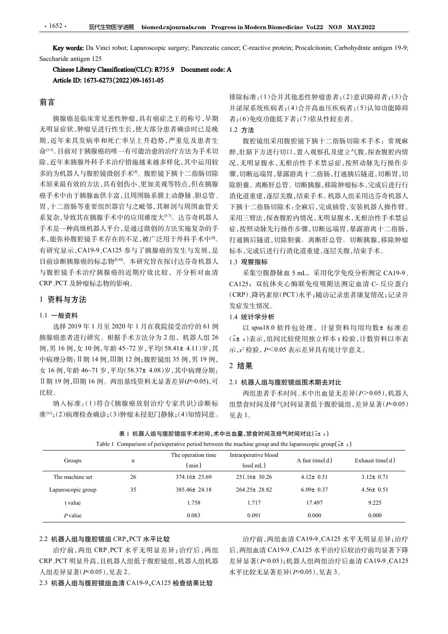<br>Da Vinci robot; Laparoscopic surgery; Pancreatic cancer; C-reactive protein; Procalcitonin; Carbohydrate antigen 19-9;<br>n 125<br>**rary Classification(CLC): R735.9 Document code: A**<br>**673-6273(2022)09-1651-05**<br>##降标准. (1)今并甘仙亚性 • 1652 • 现代生物医学进展 biomed.cnjournals.com Progress in Modern Biomedicine Vol.22 NO<br>Key words: Da Vinci robot; Laparoscopic surgery; Pancreatic cancer; C-reactive protein; Procalcitonin; C<br>Saccharide antigen 125<br>Chinese Libr

## 前言

胰腺癌是临床常见恶性肿瘤,具有癌症之王的称号,早期 无明显症状,肿瘤呈进行性生长,使大部分患者确诊时已是晚 期,近年来其发病率和死亡率呈上升趋势,严重危及患者生 命[1-3]。目前对于胰腺癌的唯一有可能治愈的治疗方法为手术切 除,近年来胰腺外科手术治疗措施越来越多样化,其中运用较 多的为机器人与腹腔镜微创手术 $\theta$ 。腹腔镜下胰十二指肠切除 术原来最有效的方法,具有创伤小、更加美观等特点,但在胰腺 癌手术中由于胰腺血供丰富,且周围肠系膜上动静脉、胆总管、 胃、十二指肠等重要组织器官与之毗邻,其解剖与周围血管关 系复杂,导致其在胰腺手术中的应用难度大[57]。达芬奇机器人 手术是一种高级机器人平台,是通过微创的方法实施复杂的手 术,能弥补腹腔镜手术存在的不足,被广泛用于外科手术中<sup>®</sup>。 有研究显示,CA19-9、CA125 参与了胰腺癌的发生与发展,是 目前诊断胰腺癌的标志物[9,10]。本研究旨在探讨达芬奇机器人 与腹腔镜手术治疗胰腺癌的近期疗效比较,并分析对血清 采集空腹静脉血5mL,采用化学免疫分析测定CA19-9、 CRP、PCT 及肿瘤标志物的影响。

# 1 资料与方法

#### 1.1 一般资料

排除标准:(1)合并其他恶性肿瘤患者;(2)意识障碍者;(3)合 并泌尿系统疾病者;(4)合并高血压疾病者;(5)认知功能障碍 者;(6)免疫功能低下者;(7)依从性较差者。

### 1.2 方法

 $\,{}^{\mathsf{I}}$ 。 打通胰后隧道,切除胆囊.离断肝总管.切断胰腺,移除肿瘤 腹腔镜组采用腹腔镜下胰十二指肠切除术手术: 常规麻 醉,肚脐下方进行切口,置入观察孔及建立气腹,探查腹腔内情 况,无明显腹水,无根治性手术禁忌症,按照动脉先行操作步 骤,切断远端胃,暴露游离十二指肠,打通胰后隧道,切断胃,切 除胆囊。离断肝总管。切断胰腺,移除肿瘤标本,完成后进行行 消化道重建,逐层关腹,结束手术。机器人组采用达芬奇机器人 下胰十二指肠切除术:全麻后,完成插管,安装机器人操作臂。 采用三臂法,探查腹腔内情况,无明显腹水,无根治性手术禁忌 症,按照动脉先行操作步骤,切断远端胃,暴露游离十二指肠, 标本,完成后进行行消化道重建,逐层关腹,结束手术。 排除标准:(1)合并其他恶性肿瘤患者;(2)意识障碍者;(3)分子,并将反射痛时,6)就成为者;(6)免疫功能低下者;(7)依从性较差者。<br>1.2 方法<br>着;(6)免疫功能低下者;(7)依从性较差者。<br>1.2 方法<br>微原系统有时间,因为要求和人工的服务。 化,就会在一个身后,从来的时间,那时间可以来看到。 "我们的一定是,对所以我们会在,我们的情况,我们的运输出,我们的运输出,我们的运输出,我们的运输出,我们的运输出,我们的运输出,我们的

# 1.3 观察指标

### 1.4 统计学分析

### 2 结果

#### 2.1 机器人组与腹腔镜组围术期去对比

|  | Table 1 Comparison of perioperative period between the machine group and the Iaparoscopic group(x+ s |  |  |  |  |  |  |  |  |  |  |
|--|------------------------------------------------------------------------------------------------------|--|--|--|--|--|--|--|--|--|--|
|--|------------------------------------------------------------------------------------------------------|--|--|--|--|--|--|--|--|--|--|

|                                                                                       |    | 有研究显示,CA19-9、CA125 参与了胰腺癌的发生与发展,是                                                                                    | 标本,完成后进行行消化道重建,逐层关腹,结束手术。            |                 |                                   |
|---------------------------------------------------------------------------------------|----|----------------------------------------------------------------------------------------------------------------------|--------------------------------------|-----------------|-----------------------------------|
| 目前诊断胰腺癌的标志物[9,10]。本研究旨在探讨达芬奇机器人                                                       |    |                                                                                                                      | 1.3 观察指标                             |                 |                                   |
| 与腹腔镜手术治疗胰腺癌的近期疗效比较,并分析对血清                                                             |    |                                                                                                                      |                                      |                 | 采集空腹静脉血 5 mL, 采用化学免疫分析测定 CA19-9、  |
| CRP、PCT 及肿瘤标志物的影响。                                                                    |    |                                                                                                                      |                                      |                 | CA125; 双抗体夹心酶联免疫吸附法测定血清 C- 反应蛋白   |
| 1 资料与方法                                                                               |    |                                                                                                                      |                                      |                 | (CRP)、降钙素原(PCT)水平;随访记录患者康复情况;记录并  |
|                                                                                       |    |                                                                                                                      | 发症发生情况。                              |                 |                                   |
| 1.1 一般资料                                                                              |    |                                                                                                                      | 1.4 统计学分析                            |                 |                                   |
|                                                                                       |    | 选择 2019年1月至 2020年1月在我院接受治疗的 61例                                                                                      |                                      |                 | 以 spss18.0 软件包处理, 计量资料均用均数± 标准差   |
| 胰腺癌患者进行研究。根据手术方法分为2组, 机器人组26                                                          |    |                                                                                                                      |                                      |                 | (x+ s)表示,组间比较使用独立样本 t 检验, 计数资料以率表 |
| 例,男 16 例,女 10 例,年龄 45~72 岁,平均(58.41± 4.11)岁,其                                         |    |                                                                                                                      | 示, $x^2$ 检验, $P < 0.05$ 表示差异具有统计学意义。 |                 |                                   |
| 中病理分期:Ⅱ期 14 例,Ⅲ期 12 例;腹腔镜组 35 例,男 19 例,<br>女 16 例,年龄 46~71 岁,平均(58.37± 4.08)岁,其中病理分期: |    |                                                                                                                      | 2 结果                                 |                 |                                   |
| Ⅱ期 19 例, Ⅲ期 16 例。两组基线资料无显著差异(P>0.05), 可                                               |    |                                                                                                                      | 2.1 机器人组与腹腔镜组围术期去对比                  |                 |                                   |
| 比较。                                                                                   |    |                                                                                                                      |                                      |                 | 两组患者手术时间、术中出血量无差异(P>0.05),机器人     |
|                                                                                       |    | 纳入标准:(1)符合《胰腺癌放射治疗专家共识》诊断标                                                                                           |                                      |                 | 组禁食时间及排气时间显著低于腹腔镜组,差异显著(P<0.05)   |
| 准罒;(2)病理检查确诊;(3)肿瘤未侵犯门静脉;(4)知情同意。                                                     |    |                                                                                                                      | 见表 1。                                |                 |                                   |
|                                                                                       |    |                                                                                                                      |                                      |                 |                                   |
|                                                                                       |    | 表 1 机器人组与腹腔镜组手术时间、术中出血量、禁食时间及排气时间对比(x+ s)                                                                            |                                      |                 |                                   |
|                                                                                       |    |                                                                                                                      |                                      |                 |                                   |
|                                                                                       |    | Table 1 Comparison of perioperative period between the machine group and the laparoscopic group( $\overline{x}$ + s) |                                      |                 |                                   |
| Groups                                                                                | n  | The operation time<br>(min)                                                                                          | Intraoperative blood<br>loss(mL)     | A fast time(d)  | Exhaust time(d)                   |
| The machine set                                                                       | 26 | 374.16± 25.69                                                                                                        | $251.16 \pm 30.26$                   | $4.12 \pm 0.51$ | $3.12 \pm 0.71$                   |
| Laparoscopic group                                                                    | 35 | 385.46± 24.18                                                                                                        | 264.25± 28.82                        | $6.09 \pm 0.37$ | $4.56 \pm 0.51$                   |
| t value                                                                               |    | 1.758                                                                                                                | 1.717                                | 17.497          | 9.225                             |

#### 2.2 机器人组与腹腔镜组 CRP、PCT 水平比较

治疗前,两组 CRP、PCT 水平无明显差异;治疗后,两组 CRP、PCT 明显升高,且机器人组低于腹腔镜组,机器人组机器 人组差异显著(P<0.05),见表 2。

2.3 机器人组与腹腔镜组血清 CA19-9、CA125 检查结果比较

治疗前,两组血清 CA19-9、CA125 水平无明显差异;治疗 后,两组血清 CA19-9、CA125 水平治疗后较治疗前均显著下降 差异显著(P<0.05);机器人组两组治疗后血清 CA19-9、CA125 水平比较无显著差异(P>0.05),见表 3。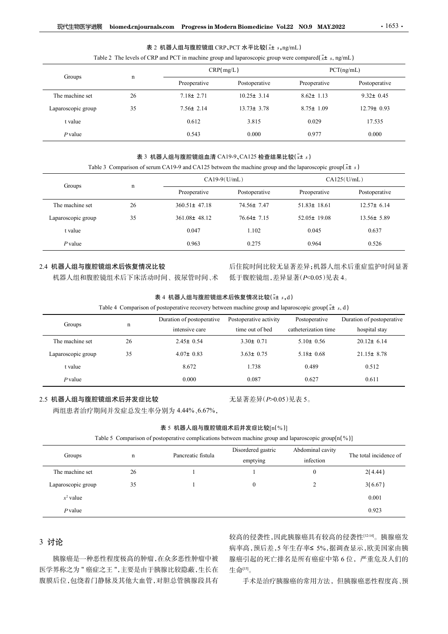| 表 2 机器人组与腹腔镜组 CRP、PCT 水平比较( $\bar{x}$ ± $s$ ,ng/mL) |  |
|-----------------------------------------------------|--|
|-----------------------------------------------------|--|

| Table 2 The levels of CRP and PCT in machine group and laparoscopic group were compared $(x \pm s, \text{ng/mL})$ |  |  |
|-------------------------------------------------------------------------------------------------------------------|--|--|
|-------------------------------------------------------------------------------------------------------------------|--|--|

| 现代生物医学进展           |             | biomed.cnjournals.com Progress in Modern Biomedicine Vol.22 NO.9 MAY.2022                                                                                      |                  |                   | $\cdot 1653$ .   |
|--------------------|-------------|----------------------------------------------------------------------------------------------------------------------------------------------------------------|------------------|-------------------|------------------|
|                    |             | 表 2 机器人组与腹腔镜组 CRP、PCT 水平比较(x+ s,ng/mL)<br>Table 2 The levels of CRP and PCT in machine group and laparoscopic group were compared( $\bar{x}$ ± s, ng/mL)       |                  |                   |                  |
|                    |             |                                                                                                                                                                | CRP(mg/L)        |                   | PCT(ng/mL)       |
| Groups             | $\mathbf n$ | Preoperative                                                                                                                                                   | Postoperative    | Preoperative      | Postoperative    |
| The machine set    | 26          | $7.18 \pm 2.71$                                                                                                                                                | $10.25 \pm 3.14$ | $8.62 \pm 1.13$   | $9.32 \pm 0.45$  |
| Laparoscopic group | 35          | $7.56 \pm 2.14$                                                                                                                                                | $13.73 \pm 3.78$ | $8.75 \pm 1.09$   | $12.79 \pm 0.93$ |
| t value            |             | 0.612                                                                                                                                                          | 3.815            | 0.029             | 17.535           |
|                    |             |                                                                                                                                                                |                  |                   |                  |
| $P$ value          |             | 0.543                                                                                                                                                          | 0.000            | 0.977             | 0.000            |
|                    |             |                                                                                                                                                                |                  |                   |                  |
|                    |             | 表 3 机器人组与腹腔镜组血清 CA19-9、CA125 检查结果比较(x+ s)<br>Table 3 Comparison of serum CA19-9 and CA125 between the machine group and the laparoscopic group( $\bar{x}$ ± s) |                  |                   |                  |
|                    |             |                                                                                                                                                                | $CA19-9(U/mL)$   |                   | CA125(U/mL)      |
| Groups             | $\mathbf n$ | Preoperative                                                                                                                                                   | Postoperative    | Preoperative      | Postoperative    |
| The machine set    | 26          | $360.51 \pm 47.18$                                                                                                                                             | 74.56± 7.47      | $51.83 \pm 18.61$ | $12.57 \pm 6.14$ |
| Laparoscopic group | 35          | $361.08 \pm 48.12$                                                                                                                                             | $76.64 \pm 7.15$ | $52.05 \pm 19.08$ | 13.56± 5.89      |
| t value            |             | 0.047                                                                                                                                                          | 1.102            | 0.045             | 0.637            |

## 表 3 机器人组与腹腔镜组血清 CA19-9、CA125 检查结果比较 $(\bar{x}$ ± s)

|                       |             | 表 2 机器人组与腹腔镜组 CRP、PCT 水平比较(x+ s,ng/mL)                                                                                                                                   |                          |                      |                             |
|-----------------------|-------------|--------------------------------------------------------------------------------------------------------------------------------------------------------------------------|--------------------------|----------------------|-----------------------------|
|                       |             | Table 2 The levels of CRP and PCT in machine group and laparoscopic group were compared( $\bar{x}$ ± s, ng/mL)                                                           |                          |                      |                             |
| Groups                | $\mathbf n$ |                                                                                                                                                                          | CRP(mg/L)                |                      | PCT(ng/mL)                  |
|                       |             | Preoperative                                                                                                                                                             | Postoperative            | Preoperative         | Postoperative               |
| The machine set       | 26          | $7.18 \pm 2.71$                                                                                                                                                          | $10.25 \pm 3.14$         | $8.62 \pm 1.13$      | $9.32 \pm 0.45$             |
| Laparoscopic group    | 35          | $7.56 \pm 2.14$                                                                                                                                                          | $13.73 \pm 3.78$         | $8.75 \pm 1.09$      | $12.79 \pm 0.93$            |
| t value               |             | 0.612                                                                                                                                                                    | 3.815                    | 0.029                | 17.535                      |
| $P$ value             |             | 0.543                                                                                                                                                                    | 0.000                    | 0.977                | 0.000                       |
|                       |             |                                                                                                                                                                          |                          |                      |                             |
|                       |             | 表 3 机器人组与腹腔镜组血清 CA19-9、CA125 检查结果比较( $\bar{x}$ ± s)<br>Table 3 Comparison of serum CA19-9 and CA125 between the machine group and the laparoscopic group( $\bar{x}$ ± s) |                          |                      |                             |
|                       |             |                                                                                                                                                                          | $CA19-9(U/mL)$           |                      | CA125(U/mL)                 |
| Groups                | $\mathbf n$ | Preoperative                                                                                                                                                             | Postoperative            | Preoperative         | Postoperative               |
| The machine set       | 26          | $360.51 \pm 47.18$                                                                                                                                                       | 74.56± 7.47              | $51.83 \pm 18.61$    | $12.57 \pm 6.14$            |
| Laparoscopic group    | 35          | 361.08± 48.12                                                                                                                                                            | $76.64 \pm 7.15$         | $52.05 \pm 19.08$    | $13.56 \pm 5.89$            |
| t value               |             | 0.047                                                                                                                                                                    | 1.102                    | 0.045                | 0.637                       |
| $P$ value             |             | 0.963                                                                                                                                                                    | 0.275                    | 0.964                | 0.526                       |
|                       |             |                                                                                                                                                                          |                          |                      |                             |
| 2.4 机器人组与腹腔镜组术后恢复情况比较 |             |                                                                                                                                                                          |                          |                      | 后住院时间比较无显著差异;机器人组术后重症监护时间显著 |
|                       |             | 机器人组和腹腔镜组术后下床活动时间、拔尿管时间、术                                                                                                                                                | 低于腹腔镜组,差异显著(P<0.05)见表 4。 |                      |                             |
|                       |             | 表 4 机器人组与腹腔镜组术后恢复情况比较(x± s,d)                                                                                                                                            |                          |                      |                             |
|                       |             | Table 4 Comparison of postoperative recovery between machine group and laparoscopic group( $\bar{x}$ ± s, d)                                                             |                          |                      |                             |
| Groups                | $\mathbf n$ | Duration of postoperative                                                                                                                                                | Postoperative activity   | Postoperative        | Duration of postoperative   |
|                       |             | intensive care                                                                                                                                                           | time out of bed          | catheterization time | hospital stay               |
| The machine set       | 26          | $2.45 \pm 0.54$                                                                                                                                                          | $3.30 \pm 0.71$          | $5.10 \pm 0.56$      | $20.12 \pm 6.14$            |
| Laparoscopic group    | 35          | $4.07 \pm 0.83$                                                                                                                                                          | $3.63 \pm 0.75$          | $5.18 \pm 0.68$      | $21.15 \pm 8.78$            |
| t value               |             | 8.672                                                                                                                                                                    | 1.738                    | 0.489                | 0.512                       |
|                       |             | 0.000                                                                                                                                                                    | 0.087                    | 0.627                | 0.611                       |

# 2.4 机器人组与腹腔镜组术后恢复情况比较

| 表 4 机器人组与腹腔镜组术后恢复情况比较(x± s,d) |  |
|-------------------------------|--|
|-------------------------------|--|

|  |  | able 4 Comparison of postoperative recovery between machine group and laparoscopic group( $x\pm s$ , d) |  |  |  |  |  |  |  |  |  |  |
|--|--|---------------------------------------------------------------------------------------------------------|--|--|--|--|--|--|--|--|--|--|
|--|--|---------------------------------------------------------------------------------------------------------|--|--|--|--|--|--|--|--|--|--|

| Groups               | $\mathbf n$ | Preoperative                                                                                                      | Postoperative                  | Preoperative                  | Postoperative               |
|----------------------|-------------|-------------------------------------------------------------------------------------------------------------------|--------------------------------|-------------------------------|-----------------------------|
| The machine set      | 26          | $360.51 \pm 47.18$                                                                                                | 74.56± 7.47                    | $51.83 \pm 18.61$             | $12.57 \pm 6.14$            |
| Laparoscopic group   | 35          | $361.08 \pm 48.12$                                                                                                | $76.64 \pm 7.15$               | $52.05 \pm 19.08$             | $13.56 \pm 5.89$            |
| t value              |             | 0.047                                                                                                             | 1.102                          | 0.045                         | 0.637                       |
| $P$ value            |             | 0.963                                                                                                             | 0.275                          | 0.964                         | 0.526                       |
|                      |             |                                                                                                                   |                                |                               |                             |
| .4 机器人组与腹腔镜组术后恢复情况比较 |             |                                                                                                                   |                                |                               | 后住院时间比较无显著差异;机器人组术后重症监护时间显著 |
|                      |             | 机器人组和腹腔镜组术后下床活动时间、拔尿管时间、术                                                                                         | 低于腹腔镜组,差异显著(P<0.05)见表 4。       |                               |                             |
|                      |             | 表 4 机器人组与腹腔镜组术后恢复情况比较(x± s,d)                                                                                     |                                |                               |                             |
|                      |             | Table 4 Comparison of postoperative recovery between machine group and laparoscopic group( $\overline{x}$ ± s, d) |                                |                               |                             |
| Groups               | $\mathbf n$ | Duration of postoperative                                                                                         | Postoperative activity         | Postoperative                 | Duration of postoperative   |
|                      |             | intensive care                                                                                                    | time out of bed                | catheterization time          | hospital stay               |
| The machine set      | 26          | $2.45 \pm 0.54$                                                                                                   | $3.30 \pm 0.71$                | $5.10 \pm 0.56$               | $20.12 \pm 6.14$            |
| Laparoscopic group   | 35          | $4.07 \pm 0.83$                                                                                                   | $3.63 \pm 0.75$                | $5.18 \pm 0.68$               | $21.15 \pm 8.78$            |
| t value              |             | 8.672                                                                                                             | 1.738                          | 0.489                         | 0.512                       |
| $P$ value            |             | 0.000                                                                                                             | 0.087                          | 0.627                         | 0.611                       |
| 2.5 机器人组与腹腔镜组术后并发症比较 |             |                                                                                                                   | 无显著差异(P>0.05)见表 5。             |                               |                             |
|                      |             | 两组患者治疗期间并发症总发生率分别为 4.44%、6.67%,                                                                                   |                                |                               |                             |
|                      |             |                                                                                                                   |                                |                               |                             |
|                      |             | 表 5 机器人组与腹腔镜组术后并发症比较[n(%)]                                                                                        |                                |                               |                             |
|                      |             | Table 5 Comparison of postoperative complications between machine group and laparoscopic group[n(%)]              |                                |                               |                             |
| Groups               | $\mathbf n$ | Pancreatic fistula                                                                                                | Disordered gastric<br>emptying | Abdominal cavity<br>infection | The total incidence of      |
| The machine set      | 26          |                                                                                                                   |                                | $\overline{0}$                | 2(4.44)                     |
| Laparoscopic group   | 35          |                                                                                                                   | $\mathbf{0}$                   | $\overline{2}$                | 3(6.67)                     |
| $x^2$ value          |             |                                                                                                                   |                                |                               | 0.001                       |
|                      |             |                                                                                                                   |                                |                               |                             |

## 2.5 机器人组与腹腔镜组术后并发症比较

| 表 5 机器人组与腹腔镜组术后并发症比较[n(%)] |  |
|----------------------------|--|
|----------------------------|--|

| Groups                            | $\mathbf n$ | Duration of postoperative<br>intensive care                                                                                                                                    | Postoperative activity<br>time out of bed | Postoperative<br>catheterization time | Duration of postoperative<br>hospital stay |
|-----------------------------------|-------------|--------------------------------------------------------------------------------------------------------------------------------------------------------------------------------|-------------------------------------------|---------------------------------------|--------------------------------------------|
| The machine set                   | 26          | $2.45 \pm 0.54$                                                                                                                                                                | $3.30 \pm 0.71$                           | $5.10 \pm 0.56$                       | $20.12 \pm 6.14$                           |
| Laparoscopic group                | 35          | $4.07 \pm 0.83$                                                                                                                                                                | $3.63 \pm 0.75$                           | $5.18 \pm 0.68$                       | $21.15 \pm 8.78$                           |
| t value                           |             | 8.672                                                                                                                                                                          | 1.738                                     | 0.489                                 | 0.512                                      |
|                                   |             |                                                                                                                                                                                |                                           |                                       |                                            |
| $P$ value<br>2.5 机器人组与腹腔镜组术后并发症比较 |             | 0.000<br>两组患者治疗期间并发症总发生率分别为 4.44%、6.67%,<br>表 5 机器人组与腹腔镜组术后并发症比较[n(%)]<br>Table 5 Comparison of postoperative complications between machine group and laparoscopic group[n(%)] | 0.087<br>无显著差异(P>0.05)见表 5。               | 0.627                                 | 0.611                                      |
| Groups                            | n           | Pancreatic fistula                                                                                                                                                             | Disordered gastric                        | Abdominal cavity<br>infection         | The total incidence of                     |
| The machine set                   | 26          |                                                                                                                                                                                | emptying                                  | $\theta$                              | 2(4.44)                                    |
| Laparoscopic group                | 35          |                                                                                                                                                                                | $\theta$                                  | 2                                     | 3(6.67)                                    |
| $x^2$ value                       |             |                                                                                                                                                                                |                                           |                                       | 0.001                                      |

# 3 讨论

胰腺癌是一种恶性程度极高的肿瘤,在众多恶性肿瘤中被 医学界称之为 " 癌症之王 ",主要是由于胰腺比较隐蔽,生长在 腹膜后位,包绕着门静脉及其他大血管,对胆总管胰腺段具有

较高的侵袭性,因此胰腺癌具有较高的侵袭性[12-14]。胰腺癌发 病率高,预后差,5 年生存率≤ 5%,据调查显示,欧美国家由胰 腺癌引起的死亡排名是所有癌症中第 6 位,严重危及人们的 生命 $^{[15]}$ 。

手术是治疗胰腺癌的常用方法,但胰腺癌恶性程度高、预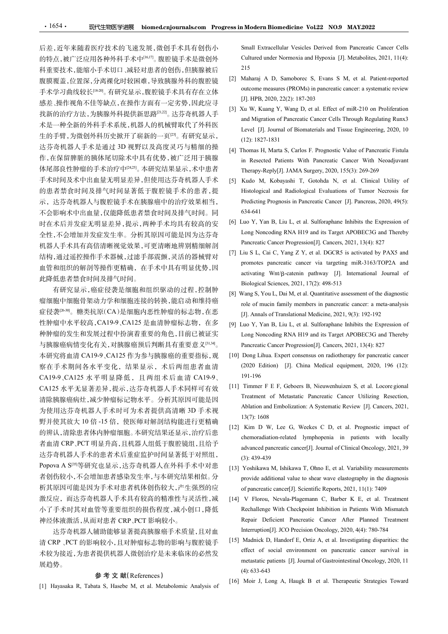的特点,被广泛应用各种外科手术中<sup>[16,17]</sup>。腹腔镜手术是微创外 Cultured under Normoxia and Hypoxia [J]. Metabolites, 2021, 11(4): 科重要技术,能缩小手术切口、减轻对患者的创伤,但胰腺被后 215<br>腹膜覆盖、位置溶、分离进化时较困难、导致胰腺外科的腹腔镜 [2] Maharaj A D, Samoborec S, Evans S M, et al. Patient-reported 手术学习曲线较长[18-20]。有研究显示,腹腔镜手术具有存在立体 感差、操作视角不佳等缺点,在操作方面有一定劣势,因此应寻 [3] Xu W, Kuang Y, Wang D, et al. Effect of miR-210 on Proliferation 生的手臂,为微创外科历史掀开了崭新的一页[23]。有研究显示, [12]: 1827-1831 达芬奇机器人手术是通过 3D 视野以及高度灵巧与精细的操 [4] Thomas H, Marta S, Carlos F. Prognostic Value of Pancreatic Fistula 体尾部良性肿瘤的手术治疗中<sup>[24,25</sup>]。本研究结果显示,术中患者 Therapy-Reply[J]. JAMA Surgery, 2020, 155(3): 269-269 手术时间及术中出血量无明显差异,但使用达芬奇机器人手术 [5] Kudo M, Kobayashi T, Gotohda N, et al. Clinical Utility of 不会影响术中出血量,仅能降低患者禁食时间及排气时间。同 时在术后并发症无明显差异,提示,两种手术均具有较高的安 [6] Luo Y, Yan B, Liu L, et al. Sulforaphane Inhibits the Expression of 机器人手术具有高倍清晰视觉效果,可更清晰地辨别精细解剖<br>(thttp://www.compart.com/compart.com/compart.com/compart.com/compart.com/compart.com/compart.com/compart.com/c<br>(thtp://www.compart.com/compart.com/compart.com/compart.com/compart.com/compart.co 此降低患者禁食时间及排气时间。

有研究显示,癌症侵袭是细胞和组织驱动的过程,控制肿<br>
[8] Wang S, You L, Dai M, et al. Quantitative assessment of the diagnostic 症侵袭<sup>[26-30]</sup>。糖类抗原(CA)是细胞内恶性肿瘤的标志物,在恶 [J]. Annals of Translational Medicine, 2021, 9(3): 192-192 性肿瘤中水平较高,CA19-9、CA125 是血清肿瘤标志物,在多 与胰腺癌病情变化有关,对胰腺癌预后判断具有重要意义[31,34]。 本研究将血清 CA19-9、CA125 作为参与胰腺癌的重要指标,观 [10] Dong Lihua. Expert consensus on radiotherapy for pancreatic cancer CA19-9、CA125 水平明显降低,且两组术后血清 CA19-9、 CA125 水平无显著差异,提示,达芬奇机器人手术同样可有效 [11] Timmer F E F, Geboers B, Nieuwenhuizen S, et al. Locore gional 为使用达芬奇机器人手术时可为术者提供高清晰 3D 手术视 野并使其放大 10 倍 -15 倍, 使医师对解剖结构能进行更精确<br>[12] Kim D W, Lee G, Weekes C D, et al. Prognostic impact of 达芬奇机器人手术的患者术后重症监护时间显著低于对照组, (3): 439-439 Popova A S[35]等研究也显示,达芬奇机器人在外科手术中对患 析其原因可能是因为手术对患者机体创伤较大,产生强烈的应 of pancreatic cancer[J]. Scientific Reports, 2021, 11(1): 7409 激反应,而达芬奇机器人手术具有较高的精准性与灵活性,减 [14] V Florou, Nevala-Plagemann C, Barber K E, et al. Treatment (1) Hayasaka R, F, A. Metabolic Hayasaka R, Tabata S, Hasebe M, Galicular S, Hayasaka R, Tabata S, Hasebe M, et al. Metabolismic Analysis of The Material Metabolismic Metabolismic Material Metabolismic Metabolismic Analy

清 CRP 、PCT 的影响较小,且对肿瘤标志物的影响与腹腔镜手 [15] Madnick D, Handorf E, Ortiz A, et al. Investigating disparities: the 展趋势。

**参考文献(References)**<br>[1] Hayasaka R, Tabata S, Hasebe M, et al. Metabolomic Analysis of

后差,近年来随着医疗技术的飞速发展,微创手术具有创伤小 Small Extracellular Vesicles Derived from Pancreatic Cancer Cells **A Modern Biomedicine Vol.22 NO.9 MAY.2022**<br>
Small Extracellular Vesicles Derived from Pancreatic Cancer Cells<br>
Cultured under Normoxia and Hypoxia [J]. Metabolites, 2021, 11(4):<br>
215<br>
Maharaj A D, Samoborec S, Evans S M, 215

- 腹膜覆盖,位置深,分离裸化时较困难,导致胰腺外科的腹腔镜 [2] Maharaj A D, Samoborec S, Evans S M, et al. Patient-reported<br>天下兴灵共组给长尾盟、左匹宫星、嗜睑综无下具左右右右右。 outcome measures (PROMs) in pancreatic cancer: a systematic review **1 Modern Biomedicine Vol.22 NO.9 MAY.2022**<br>
Small Extracellular Vesicles Derived from Pancreatic Cancer Cells<br>
Cultured under Normoxia and Hypoxia [J]. Metabolites, 2021, 11(4):<br>
215<br>
Maharaj A D, Samoborec S, Evans S M, **EXECUTE THEORY ISSUE A DRAMARY SET SET AND SET A DRAMARY AND SET SCHOLER SET AND MARRIA A D, Samoborec S, Evans S M, et al. Patient-reported outcome measures (PROMs) in pancreatic cancer: a systematic review [J]. HPB, 202**
- 找新的治疗方法,为胰腺外科提供新思路[21,22]。达芬奇机器人手 [5] Ad w, Kdang 1, wang D, Ct al. Effect of films 210 of 110filefation<br>and Migration of Pancreatic Cancer Cells Through Regulating Runx3 术是一种全新的外科手术系统,机器人的机械臂取代了外科医<br>Level [J]. Journal of Biomaterials and Tissue Engineering, 2020, 10 **1 Modern Biomedicine Vol.22 NO.9 MAY.2022**<br>
Small Extracellular Vesicles Derived from Pancreatic Cancer Cells<br>
Cultured under Normoxia and Hypoxia [J]. Metabolites, 2021, 11(4):<br>
215<br>
Maharaj A D, Samoborec S, Evans S M, **1 Modern Biomedicine Vol.22 NO.9 MAY.2022**<br>
Small Extracellular Vesicles Derived from Pancreatic Cancer Cells<br>
Cultured under Normoxia and Hypoxia [J]. Metabolites, 2021, 11(4):<br>
215<br>
Maharaj A D, Samoborec S, Evans S M, **Example 12 Solution School School Manuary School School Manual Extracellular Vesicles Derived from Pancreatic Cancer Cells<br>Cultured under Normoxia and Hypoxia [J]. Metabolites, 2021, 11(4):<br>215<br>(2) Maharaj A D, Samoborec Andre Exercista Concert Colombia Colombia Colombia Colombia Colombia Colombia Colombia Colombia Colombia Colombia Regulation of Pancreatic Cancer Cells Maharaj A D, Samoborec S, Evans S M, et al. Patient-reported outcome Modern Biomedicine Vol.22 NO.9 MAY.2022**<br>
Small Extracellular Vesicles Derived from Pancreatic Cancer Cells<br>
Cultured under Normoxia and Hypoxia [J]. Metabolites, 2021, 11(4):<br>
215<br>
Maharaj A D, Samoborec S, Evans S M, et **1 Modern Biomedicine Vol.22 NO.9 MAY.2022**<br>
Small Extracellular Vesicles Derived from Pancreatic Cancer Cells<br>
Cultured under Normoxia and Hypoxia [J]. Metabolites, 2021, 11(4):<br>
215<br>
Maharaj A D, Samoborec S, Evans S M, **Example 12 Thomas H, Marta S, Carlos F. Prognostic Value of Pancreatic Cancer Cells<br>
Cultured under Normoxia and Hypoxia [J]. Metabolites, 2021, 11(4):<br>
215<br>
22 Maharaj A D, Samoboree S, Evans S M, et al. Patient-reported 1 Modern Biomedicine Vol.22 NO.9 MAY.2022**<br>
Small Extracellular Vesicles Derived from Pancreatic Cancer Cells<br>
Cultured under Normoxia and Hypoxia [J]. Metabolites, 2021, 11(4):<br>
215<br>
Maharaj A D, Samoborec S, Evans S M,
- 作,在保留脾脏的胰体尾切除术中具有优势,被广泛用于胰腺 hard resected Patients With Pancreatic Cancer With Neoadjuvant
- 的患者禁食时间及排气时间显著低于腹腔镜手术的患者,提 Histological and Radiological Evaluations of Tumor Necrosis for 示,达芬奇机器人与腹腔镜手术在胰腺癌中的治疗效果相当, Predicting Prognosis in Pancreatic Cancer [J]. Pancreas, 2020, 49(5): **n Modern Biomedicine Vol.22 NO.9 MAY.2022**<br>
Small Extracellular Vesicles Derived from Pancreatic Cancer Cells<br>
Cultured under Normoxia and Hypoxia [J]. Metabolites, 2021, 11(4):<br>
215<br>
Maharaj A D, Samoborec S, Evans S M, **EXECUTE THE SECTS CONSTRANGED SET AND ARESE SERVICES CONSTRANGED SCIUSE CONSTRANGED CONSTRANGED (21 Maharaj A D, Samoborec S, Evans S M, et al. Patient-reported outcome measures (PROMs) in pancreatic cancer a systematic r 1 Modern Biomedicine Vol.22 NO.9 MAY.2022**<br>
Small Extracellular Vesicles Derived from Pancreatic Cancer Cells<br>
Cultured under Normoxia and Hypoxia [J]. Metabolites, 2021, 11(4):<br>
215<br>
Maharaj A D, Samoborec S, Evans S M, **Modern Biomedicine Vol.22 NO.9 MAY.2022**<br>
Small Extracellular Vesicles Derived from Pancreatic Cancer Cells<br>
Cultured under Normoxia and Hypoxia [J]. Metabolites, 2021, 11(4):<br>
215<br>
Maharaj A D, Samoborec S, Evans S M, et 634-641 **EXECUTE THE SET CONSTRANT CONSTRANT CONSTRANT CONSTRANT CONSTRANT CONSTRANT CONSTRANT (2) And A D, Samohoree S, Evans S M, et al. Patient-reported outcome measures (PROMS) in pancreatic cancer a systematic review [J], IHP** Small Extracellular Vesicles Derived from Panceratic Cancer Cells<br>Cultured under Normoxia and Hypoxia [J]. Metabolites, 2021, 11(4):<br>215<br>Maharaj A D, Samoboree S, Evans S M, et al. Patient-reported<br>outcome measures (PROMs) Small Extracellular Vesseles Derived from Pancreatic Cancer Cells<br>Cultured under Normoxia and Hypoxia [J]. Metabolites, 2021, 11(4):<br>215<br>Maharaj A D, Samoboree S, Evans S M, et al. Patient-reported<br>outcome measures (PROMs) Cultred under Normoxia and Hypoxia [J]. Metabolites, 2021, 11(4):<br>
215<br>
215<br>
Maharaj A D, Samoboree S, Evans S M, et al. Patient-reported<br>
outcome measures (PROMs) in pancreatic cancer: a systematic review<br>
[J]. HPB, 2020, 215<br>
Maharaj A D, Samoborec S, Evans S M, et al. Patient-reported<br>
Maharaj A D, Samoborec S, Evans S M, et al. Patient-reported<br>
[J]. HPB, 2020, 22(2): 187-203<br>
Ku W, Kuang Y, Wang D, et al. Effect of miR-210 on Proliferat Maharaj A D, Samoboree S, Evans S M, et al. Patient-reported<br>
outcome measures (PROMs) in pancreatic cancer: a systematic review<br>
[J]. IHPB, 2020, 22(2): 187-203<br>
Ku W, Kuang Y, Wang D, et al. Effect of miR-210 on Prolifer outcome measures (PROMs) in pancreatic cancer: a systematic review<br>
UI, IFB, 2020, 22(2): 187-203<br>
UG W, Kiang Y, Wang D, et al. Effect of miR-210 on Proliferation<br>
and Migration of Pancreatic Cancer Cells Through Regulati [3] LIPHB, 2020, 22(2): 187-203<br>
[3] Xu Kuang Y, Wang D, et al. Effect of miR-210 on Proliferation<br>
and Migration of Pancetaic Cancer Cells Through Regulating Runx3<br>
Level [J]. Journal of Biomaterials and Tissue Engineeri Xu W, Kuang Y, Wang D, et al. Effect of mik-210 on Proliferation<br>and Migration of Pancreatic Cancer Cells Through Regulating Rumx3<br>Level [J]. Journal of Biomaterials and Tissue Engineering, 2020, 10<br>(12): 1827-1831<br>Ibmnas and Migration of Pancreatic Cancer Cells Through Regulating Runx3<br>
Level [J]. Journal of Biomaterials and Tissue Engineering, 2020, 10<br>
(12): 1827-1831<br>
Thomas H, Marta S, Carlos F. Prognostic Value of Pancreatic Fistula<br> Level [J]. Journal of Biomaternals and Tissue Engineering, 2020, 10<br>
(12): 1827-1831<br>
in Resected Patients With Pancreatic Cancer With Neoadjuvant<br>
Therapy-Reply[J]. JAMA Surgery, 2020, 155(3): 269-269<br>
[5] Kudo M, Kobayas (12): 1827-1831<br>In Resected Patients With Pancreatic Cancer With Neoadjuvant<br>In Resected Patients With Pancreatic Cancer With Neoadjuvant<br>Therapy-Reply[J]. JAMA Surgery, 2020, 155(3): 269-269<br>Kudo M, Kobayashi T, Gotohda N Ihomas H, Marta S, Carlos F. Prognostic Value of Pancreatic Fistula<br>
in Researced Paleins With Pancreatic Cancer With Neadjuvant<br>
in Enespay-Reply[J]. JAMA Surgery, 2020, 155(3): 269-269<br>
Kudo M, Kobayashi T, Gotohda N, e m Resected Patients With Pancreatic Cancer With Neoadjuvant<br>
Therapy-Reply[1], JAMA Surgery, 2020, 155(3): 059-269<br>
Histological and Radiological Evaluations of Tumor Necrosis for<br>
Predicting Prognosis in Pancreatic Cance Therapy-Reply[J]. JAMA Surgery, 2020, 150(3): 269-269<br>Kudo M, Kobogashi T, Gotolda N, et al. Clinical Utility of<br>Ristological and Radiological Evaluations of Tunor Necrosis for<br>Predicting Prognosis in Pancreatic Cancer [J
- 全性,不会增加并发症发生率。分析其原因可能是因为达芬奇 Long Noncoding RNA H19 and its Target APOBEC3G and Thereby<br>加思人手术具有京底港版视觉效果、可更清晰地游別特例贸别、Pancreatic Cancer Progression[J]. Cancers, 2021, 13(4): 827
- 结构,通过遥控操作手术器械,过滤手部震颤,灵活的器械臂对<br>rights discussed by PAAS and<br>rights discussed by PAAS and and the contract of the contract of the contract of the contract of the contract of the contract of the contract of the contract of th 血管和组织的解剖等操作更精确,在手术中具有明显优势,因 removes particulate cancer via angeling link 5165/1612/1 and<br>waterstock and the control of activating Wnt/β-catenin pathway [J]. International Journal of Histological and Radiological Evaluations of Tumor Necrosis for<br>
Predicting Prognosis in Pancreatic Cancer [J]. Pancreas, 2020, 49(5):<br>
634-641<br>
[6] Luo Y, Yan B, Liu L, et al. Sulforaphane Inhibits the Expression of<br>
Long Predicting Prognosis in Pancreatic Cancer [J]. Pancreas, 2020, 49(5):<br>
634-641<br>
(i.uo Y, Yan B, Liu L, et al. Sulforaphane Inhibits the Expression of<br>
Long Noncoding RNA H19 and its Target APOBEC3G and Thereby<br>
Pancreatic 634-641<br>
Luo Y, Yan B, Liu L, et al. Sulforaphane Inhibits the Expression of<br>
Long Noneoding RNA H19 and is Target APOBEC3G and Thereby<br>
Pancreatic Cancer Progression[J]. Cancers, 2021, 13(4): 827<br>
Liu S L, Cai C, Yang Z Y
- 瘤细胞中细胞骨架动力学和细胞连接的转换,能启动和维持癌 role of mucin family members in pancreatic cancer: a meta-analysis
- 种肿瘤的发生和发展过程中扮演着重要的角色,目前已被证实 Pancreatic Cancer Progression[J]. Cancers, 2021, 13(4): 827
- 察在手术期间各水平变化,结果显示,术后两组患者血清 (2020 Edition) [J]. China Medical equipment, 2020, 196 (12): 191-196
- 清除胰腺癌病灶,减少肿瘤标记物水平。分析其原因可能是因 Treatment of Metastatic Pancreatic Cancer Utilizing Resection,
- 的辨认,清除患者体内肿瘤细胞。本研究结果还显示,治疗后患 ring ring and provided tymphopenia in patients with locally 者血清 CRP、PCT 明显升高,且机器人组低于腹腔镜组,且给予<br>advanced pancreatic cancer[J]. Journal of Clinical Oncology, 2021, 39 Luo Y, Yan B, Liu L, et al. Sulforaphane Inhibits the Expression of<br>Long Nonocoding RNA HI9 and its Target APOBEC3G and Thereby<br>Pancreatic Cancer Progression[J]. Cancers, 2021, 13(4): 827<br>Liu S L, Cai C, Yang Z Y, et al. Long Noncoding RNA H19 and its Target APOBEC:3G and Thereby<br>
Panereatic Cancer Progression[J]. Cancers, 2021, 13(4): 827<br>
[7] Liu S L, Cai C, Yang Z Y, et al. DGCR5 is activated by PAX5 and<br>
promotes panereatic cancer via Pancreatic Cancer Progression[J]. Cancers, 2021, 13(4): 827<br>
Liu S L, Cai C, Y ang Z Y, et al. DGCR5 is activated by PAX5 and<br>
promotos pancreatic eareor via targeting miR-3163470P2A and<br>
activating Wnt/β-catenin pathway Lu S L, Car C, Yang Z Y, et al. DGCR5 is activated by PAXS and<br>promotes pancreatic cancer via targeting miR-3163/TOP2A and<br>activating Wnt/β-catenin pathway [J]. International Journal of<br>Biological Sciences, 2021, 17(2): 4 promotes pancreatic cancer via targeting miR-3163/TOP2A and<br>activating Wn(B-catetnin pathway [J]. International Journal of<br>Biological Sciences, 2021, 17(2): 498-513<br>Wang S, You L, Dai M, et al. Quantitative assessment of t activating Wnt/β-catenin pathway [J]. International Journal of<br>Biological Sciences, 2021, 17(2): 498-513<br>Wang S, You L, Dai M, et al. Quantitative assessment of the diagnostic<br>role of mucin family members in pancreatic can Biological Sciences, 2021, 17(2): 498-513<br>
Wang S, You L, Dai M, et al. Quantitative assessment of the diagnostic<br>
role of mucin family members in pancreatic cancer: a meta-analysis<br>
[J]. Annals of Translational Medicine, Wang S, You L., Dai M, et al. Quantitative assessment of the diagnostic<br>role of mucin family members in pancreatic cancer: a meta-analysis<br>[J]. Annals of Translational Medicine, 2021, 9(3): 192-192<br>Luo Y, Yan B, Liu L, et role of mucin family members in pancreatic cancer: a meta-analysis<br>
[J.J. Annals of Translational Medicine, 2021, 9(3): 192-192<br>
[100 V, Yan B, Liu L, et al. Sulforphane Inhibits the Expression of<br>
Long Noncoding RNA H19 a [J]. Annals of Translational Medicine, 2021, 9(3): 192-192<br>Luo Y, Yan B, Liu L, et al. Sulforaphare Inhibits the Expression of<br>Long Noncoding RNA H19 and is Target APOBEC3G and Thereby<br>Pancreatic Cancer Progression[J]. Can Luo Y, Yan B, Luu L, et al. Sulforaphane Inhibits the Expression of<br>
Long Nonocoding RNA HI9 and its Target APOBEC3G and Thereby<br>
Pancreatic Cancer Progression[JI]. Cancers, 2021, 13(4): 827<br>
Dong Lihua. Expert consensus o Long Noncoding RNA H19 and its Target APOBEC-3G and Thereby<br>
Pararcatic Cancer Progression[J]. Cancers, 2021, 13(4): 827<br>
Pang Lihua. Expert consensus on radiotherapy for paracratic eancer<br>
(2020 Edition) [J]. China Medica Dong Lihua. Expert consensus on radiotherapy for pancreatic cancer<br>
(2020 Edition) [J]. China Medical equipment, 2020, 196 (12):<br>
191-196<br>
Timmer F E F, Gebors B, Nieuwenhuizen S, et al. Locore gional<br>
Treatment of Metasta (2020 Edition) [J]. China Medical equipment, 2020, 196 (12):<br>191-196<br>Timmer F E F, Geboers B, Nieuwenhuizen S, et al. Locore gional<br>Treatment of Metastatic Pancreatic Cancer Utilizing Resection,<br>Ablation and Embolization: 191-196<br>
Timmer F E F, Geboers B, Nieuwenhuizen S, et al. Locore gional<br>
Treatment of Metastatic Pancreatic Cancer Utilizing Resection,<br>
Ablation and Embolization: A Systematic Review [J]. Cancers, 2021,<br>
13(7): 1608<br>
Kim
- 者创伤较小,不会增加患者感染发生率,与本研究结果相似。分
- 小了手术时其对血管等重要组织的损伤程度,减小创口,降低 Rechallenge With Checkpoint Inhibition in Patients With Mismatch 神经体液激活,从而对患者 CRP、PCT 影响较小。 达芬奇机器人辅助能够显著提高胰腺癌手术质量,且对血
- 术较为接近,为患者提供机器人微创治疗是未来临床的必然发 wellect of social environment on pancreatic cancer survival in<br>metastatic patients [J]. Journal of Gastrointestinal Oncology, 2020, 11 Pancreatic Cancer Progression[J]. Cancers, 2021, 13(4): 827<br>
[10] Dong Lihua. Expert consensus on radiotherapy for pancreatic cancer<br>
(2020 Edition) [J]. China Medical equipment, 2020, 196 (12):<br>
191-196<br>
[11] Timmer F E F [11] Timmer F E F, Gebors B, Nieuwenhuizen S, et al. Locore gional Treatment of Metastatic Pancreatic Cancer Utilizing Resection, Ablation and Embolization: A Systematic Review [J]. Cancers, 2021, 13(7): 1608<br>[12] Kim D W,
	-